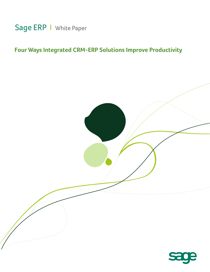

# **Four Ways Integrated CRM-ERP Solutions Improve Productivity**

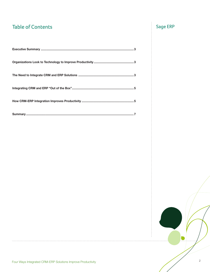# Table of Contents Sage ERP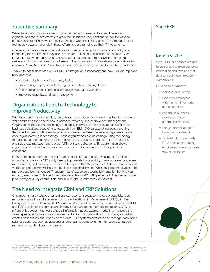## Executive Summary **Executive Summary** Sage ERP

While the economy is once again growing, uncertainty remains. As a result, even as organizations make investments to grow their business, they continue to look for ways to squeeze greater efficiency from their operations while minimizing costs. They recognize that technology plays a huge role in these efforts and are ramping up their IT investments.

One important area where organizations can use technology to improve productivity is by integrating the applications they use in their front-office and back-office operations. Such integration allows organizations to access accurate and comprehensive information that delivers a full customer view from all areas of the organization. It also allows organizations to automate "straight-through" end-to-end business processes, such as the quote-to-cash cycle.

This white paper describes why CRM-ERP integration is necessary and how it drives improved productivity by:

- Reducing duplication of data-entry tasks.
- Empowering employees with the right information at the right time.
- Streamlining business processes through automated workflow.
- Improving organizational task management.

## Organizations Look to Technology to Improve Productivity

With the economy growing fitfully, organizations are looking to expand their top-line revenues while optimizing their operations to enhance efficiency and improve cost management. Organizations realize that technology and timely information are critical to achieving these business objectives, according to research from IBM.<sup>1</sup> CIO Magazine<sup>2</sup> concurs, reporting that after two years of IT spending cutbacks due to the Great Recession, organizations are once again investing in technology. These organizations are increasingly using technology to automate and bring complete information to every business process—from marketing and sales lead management to order fulfillment and collections. This automation allows organizations to standardize processes and make information visible throughout their operations.

In 2011, the most commonly cited business goals for companies investing in IT projects, according to the same CIO study, $3$  are to improve staff productivity, make business processes more efficient, and promote innovation. CIO reports that 67 percent of CIOs say that improving workforce productivity will be a top business accomplishment. While enabling employees to be more productive has topped IT leaders' lists of expected accomplishments for the third year running, even more CIOs cite its importance today. In 2010, 63 percent of CIOs saw end-user productivity as a key contribution, and in 2009 that number was 49 percent.

## The Need to Integrate CRM and ERP Solutions

One important area where organizations can use technology to improve productivity is by removing data silos and integrating Customer Relationship Management (CRM) with their Enterprise Resource Planning (ERP) solution. Many small-to-midsized organizations use CRM and ERP solutions to automate and improve the management of their operations. CRM is a front-office system that centralizes all information about external marketing, manages the sales pipeline, automates customer service, tracks information about customers, as well as creates dashboards and reports on this data. ERP systems automate and manage back-office business activities, such as accounting, purchasing, collections, human resources, payroll, manufacturing, distribution, and more.

### Benefits of CRM

With CRM, businesses are able to collect and analyze customer information and then use that data to meet—even exceed expectations.

CRM helps businesses:

- Increase productivity.
- Empower employees with the right information at the right time.
- Streamline business processes through automated workflow.
- Bridge information gaps between departments.
- Tie ERP information with CRM so customer-facing employees have a complete view of customers.

1 "The New Voice of the CIO: Insights from the Global Chief Information Officer Study" by IBM, October 2009. <sup>2#</sup>2011 State of the CIO: IT Departments are Fueling Company Growth through Strategic Technology Investments" By Kim S. Nash, CIP, January 1, 2011. 3 "2011 State of the CIO: IT Departments are Fueling Company Growth through Strategic Technology Investments" By Kim S. Nash, CIP, January 1, 2011.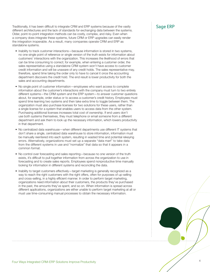Traditionally, it has been difficult to integrate CRM and ERP systems because of the vastly<br>different architectures and the lack of standards for exchanging data between the systems. Older, point-to-point integration methods can be costly, complex, and risky. Even when a company does integrate these systems, future CRM or ERP upgrades can easily render the integration inoperable. As a result, many companies operate CRM and ERP as standalone systems.

- Inability to track customer interactions—because information is stored in two systems, no one single point of reference or single version of the truth exists for information about customers' interactions with the organization. This increases the likelihood of errors that can be time consuming to correct; for example, when entering a customer order, the sales representative using a standalone CRM system won't have access to customer credit information and will be unaware of any credit holds. The sales representative may, therefore, spend time taking the order only to have to cancel it once the accounting department discovers the credit hold. The end result is lower productivity for both the sales and accounting departments.
- No single point of customer information—employees who want access to complete information about the customer's interactions with the company must turn to two entirely different systems—the CRM system and the ERP system—to answer customer questions about, for example, order status or to access a customer's credit history. Employees must spend time learning two systems and then take extra time to toggle between them. The organization must also purchase licenses for two solutions for these users, rather than a single license for a system that enables users to access data from the other system. Purchasing additional licenses increases total cost of ownership. If end users don't use both systems themselves, they must telephone or email someone from a different department and ask them to look up the necessary information, which lowers productivity in that department.
- No centralized data warehouse—when different departments use different IT systems that don't share a single, centralized data warehouse to store information, information must be manually reentered into each system, resulting in wasted time and potential rekeying errors. Alternatively, organizations must set up a separate "data mart" to take data from the different systems in use and "normalize" that data so that it appears in a common format.
- No control over forecasting and sales reporting—because no one version of the truth exists, it's difficult to pull together information from across the organization to use in forecasting and to create sales reports. Employees spend nonproductive time manually looking for information in different systems and reconciling the data.
- Inability to target customers effectively—target marketing is generally recognized as a way to reach the right customers with the right offers, often for purposes of up-selling and cross-selling, in a highly efficient manner. In order to perform target marketing, organizations need information about their customers, the products they've purchased in the past, the amounts they've spent, and so on. When information is spread across different applications, organizations are either unable to perform target marketing at all or must use time-consuming manual processes to obtain the necessary information.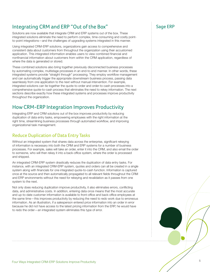## Integrating CRM and ERP "Out of the Box" Sage ERP

Solutions are now available that integrate CRM and ERP systems out of the box. These integrated solutions eliminate the need to perform complex, time-consuming and costly pointto-point integrations—and the challenges of upgrading systems integrated in this manner.

Using integrated CRM-ERP solutions, organizations gain access to comprehensive and consistent data about customers from throughout the organization using their accustomed application. This integrated information enables users to view combined financial and nonfinancial information about customers from within the CRM application, regardless of where the data is generated or stored.

These combined solutions also bring together previously disconnected business processes by automating complex, multistage processes in an end-to-end manner. In other words, these integrated systems provide "straight through" processing. They employ workflow management and can automatically trigger the appropriate downstream business process, passing data seamlessly from one application to the next without manual intervention. For example, integrated solutions can tie together the quote-to-order and order-to-cash processes into a comprehensive quote-to-cash process that eliminates the need to rekey information. The next sections describe exactly how these integrated systems and processes improve productivity throughout the organization.

## How CRM-ERP Integration Improves Productivity

Integrating ERP and CRM solutions out of the box improves productivity by reducing duplication of data entry tasks, empowering employees with the right information at the right time, streamlining business processes through automated workflow, and improving organizational task management.

### Reduce Duplication of Data Entry Tasks

Without an integrated system that shares data across the enterprise, significant rekeying of information is necessary into both the CRM and ERP systems for a number of business processes. For example, sales will take an order, enter it into the CRM, and also email the order to someone, who will then rekey it into a back-office system, where the order is processed and shipped.

An integrated CRM-ERP system drastically reduces the duplication of data entry tasks. For instance, with an integrated CRM-ERP system, quotes and orders can all be created in a single system along with financials for one integrated quote-to-cash function. Information is captured once at the source and then automatically propagated to all relevant fields throughout the CRM and ERP environments without the need for rekeying and revalidation as it passes from one system to the next.

Not only does reducing duplication improve productivity, it also eliminates errors, conflicting data, and administrative costs. In addition, entering data once means that the most accurate and up-to-date customer information is available to front-office and back-office employees at the same time—this improves productivity by reducing the need to redo work due to erroneous information. As an illustration, if a salesperson entered price information into an order in error because he did not have access to the latest pricing information from the ERP, he would have to redo the order—an integrated system eliminates this type of error.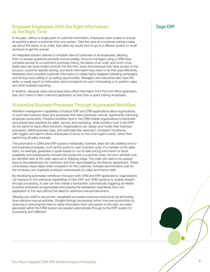### Empower Employees With the Right Information Figure 2014 Sage ERP at the Right Time

In the past, without a single point of customer information, employees were unable to answer all questions about a customer from one system. Take the case of a customer asking a sales rep about the status of an order; that sales rep would have to go to a different system or email someone to get the answer.

An integrated solution delivers a complete view of customers to all employees, allowing them to answer questions promptly and accurately. Account managers using a CRM have complete access to a customer's purchase history, the status of an order, and much more. Sales reps can book orders correctly the first time, every time because they have access to the account, customer-specific pricing, and stock information they need to do their jobs effectively. Marketers have complete customer information to create highly targeted marketing campaigns and driving cross-selling or up-selling opportunities. Managers and executives also have the ability to easily report on information about prospects for use in forecasting or to perform sales and other business reporting.

In addition, because users can access back-office information from the front-office application, they don't need to learn a second application so less time is spent training employees.

### Streamline Business Processes Through Automated Workflow

Workflow management capabilities of today's ERP and CRM applications allow organizations to automate business steps and processes that were previously manual, significantly improving employee productivity. Powerful workflow tools in the CRM enable organizations to automate and embed best practices for sales, service, and marketing, while workflow tools in the ERP do the same for back-office functions. Organizations can design and modify their business processes, define business rules, and automate their execution. Exception monitoring with triggers and alarms allows employees to focus on the most urgent events, rather than performing all tasks manually.

The automation in CRM and ERP systems individually, however, does not fully address end-toend business processes, such as the quote-to-cash business cycle. If a member of the sales team, for example, generates a quote based on out-of-date pricing information or stock availability and subsequently converts this quote into a customer order, this error will likely only be identified later at the order approval or shipping stage. The order will need to be passed back to the salesperson for correction and then reprocessed by the finance department. These unnecessary steps delay order completion for the customer, increase administrative cost for the company, and duplicate workload unnecessarily for sales and finance staff.

By developing automated workflows that span both CRM and ERP applications, organizations can expand on the individual capabilities of their ERP and CRM systems to enable straightthrough processing. A user can then initiate a transaction, automatically triggering all related business processes as appropriate and passing the transaction seamlessly from one application to the next without the need for extensive manual intervention.

Allowing your staff to use proven, repeatable processes improves productivity by eliminating time-intensive manual activities. Straight-through processing further improves productivity by reducing or removing the need to rekey information from one system to the next, as orders generated within the CRM system are passed automatically through to the ERP system for processing and fulfillment.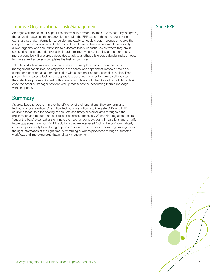### Improve Organizational Task Management New York Sage ERP

An organization's calendar capabilities are typically provided by the CRM system. By integrating those functions across the organization and with the ERP system, the entire organization can share calendar information to quickly and easily schedule group meetings or to give the company an overview of individuals' tasks. This integrated task management functionality allows organizations and individuals to automate follow-up tasks, review where they are in completing tasks, and prioritize tasks in order to improve accountability and perform tasks more productively. If one group delegates a task to another, this group calendar makes it easy to make sure that person completes the task as promised.

Take the collections management process as an example. Using calendar and task management capabilities, an employee in the collections department places a note on a customer record or has a communication with a customer about a past-due invoice. That person then creates a task for the appropriate account manager to make a call and start the collections process. As part of this task, a workflow could then kick off an additional task once the account manager has followed up that sends the accounting team a message with an update.

### Summary

As organizations look to improve the efficiency of their operations, they are turning to technology for a solution. One critical technology solution is to integrate CRM and ERP solutions to facilitate the sharing of accurate and timely customer data throughout the organization and to automate end-to-end business processes. When this integration occurs "out of the box," organizations eliminate the need for complex, costly integrations and simplify future upgrades. Using CRM-ERP solutions that are integrated "out of the box" dramatically improves productivity by reducing duplication of data entry tasks, empowering employees with the right information at the right time, streamlining business processes through automated workflow, and improving organizational task management.